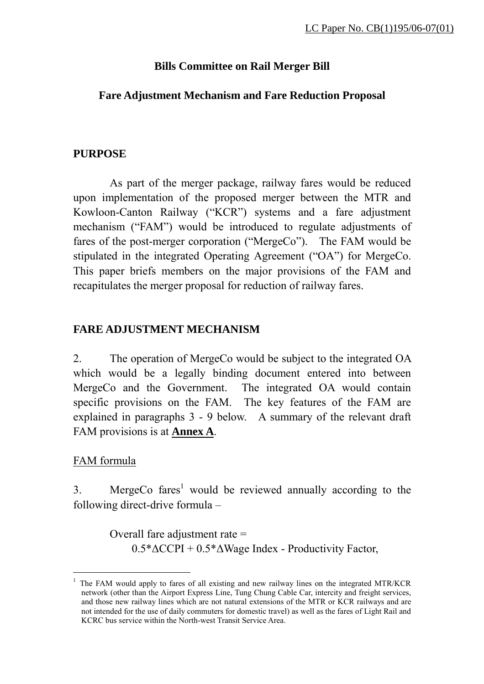# **Bills Committee on Rail Merger Bill**

## **Fare Adjustment Mechanism and Fare Reduction Proposal**

### **PURPOSE**

 As part of the merger package, railway fares would be reduced upon implementation of the proposed merger between the MTR and Kowloon-Canton Railway ("KCR") systems and a fare adjustment mechanism ("FAM") would be introduced to regulate adjustments of fares of the post-merger corporation ("MergeCo"). The FAM would be stipulated in the integrated Operating Agreement ("OA") for MergeCo. This paper briefs members on the major provisions of the FAM and recapitulates the merger proposal for reduction of railway fares.

# **FARE ADJUSTMENT MECHANISM**

2. The operation of MergeCo would be subject to the integrated OA which would be a legally binding document entered into between MergeCo and the Government. The integrated OA would contain specific provisions on the FAM. The key features of the FAM are explained in paragraphs 3 - 9 below. A summary of the relevant draft FAM provisions is at **Annex A**.

### FAM formula

 $\overline{a}$ 

3. MergeCo fares<sup>1</sup> would be reviewed annually according to the following direct-drive formula –

> Overall fare adjustment rate = 0.5\*∆CCPI + 0.5\*∆Wage Index - Productivity Factor,

<sup>1</sup> The FAM would apply to fares of all existing and new railway lines on the integrated MTR/KCR network (other than the Airport Express Line, Tung Chung Cable Car, intercity and freight services, and those new railway lines which are not natural extensions of the MTR or KCR railways and are not intended for the use of daily commuters for domestic travel) as well as the fares of Light Rail and KCRC bus service within the North-west Transit Service Area.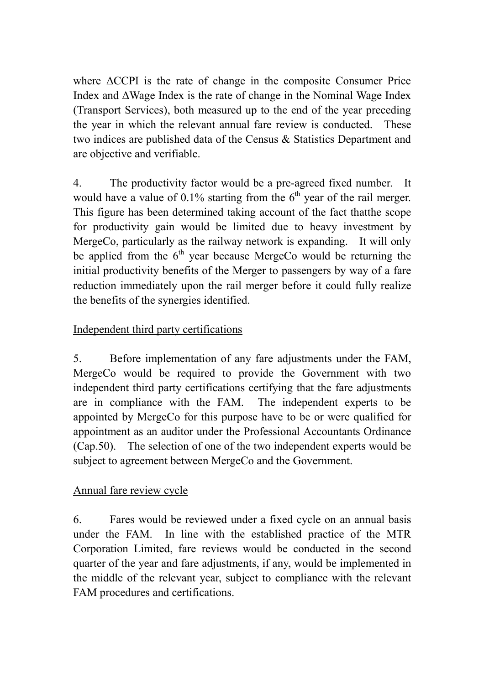where ∆CCPI is the rate of change in the composite Consumer Price Index and ∆Wage Index is the rate of change in the Nominal Wage Index (Transport Services), both measured up to the end of the year preceding the year in which the relevant annual fare review is conducted. These two indices are published data of the Census & Statistics Department and are objective and verifiable.

4. The productivity factor would be a pre-agreed fixed number. It would have a value of  $0.1\%$  starting from the  $6<sup>th</sup>$  year of the rail merger. This figure has been determined taking account of the fact thatthe scope for productivity gain would be limited due to heavy investment by MergeCo, particularly as the railway network is expanding. It will only be applied from the  $6<sup>th</sup>$  year because MergeCo would be returning the initial productivity benefits of the Merger to passengers by way of a fare reduction immediately upon the rail merger before it could fully realize the benefits of the synergies identified.

# Independent third party certifications

5. Before implementation of any fare adjustments under the FAM, MergeCo would be required to provide the Government with two independent third party certifications certifying that the fare adjustments are in compliance with the FAM. The independent experts to be appointed by MergeCo for this purpose have to be or were qualified for appointment as an auditor under the Professional Accountants Ordinance (Cap.50). The selection of one of the two independent experts would be subject to agreement between MergeCo and the Government.

# Annual fare review cycle

6. Fares would be reviewed under a fixed cycle on an annual basis under the FAM. In line with the established practice of the MTR Corporation Limited, fare reviews would be conducted in the second quarter of the year and fare adjustments, if any, would be implemented in the middle of the relevant year, subject to compliance with the relevant FAM procedures and certifications.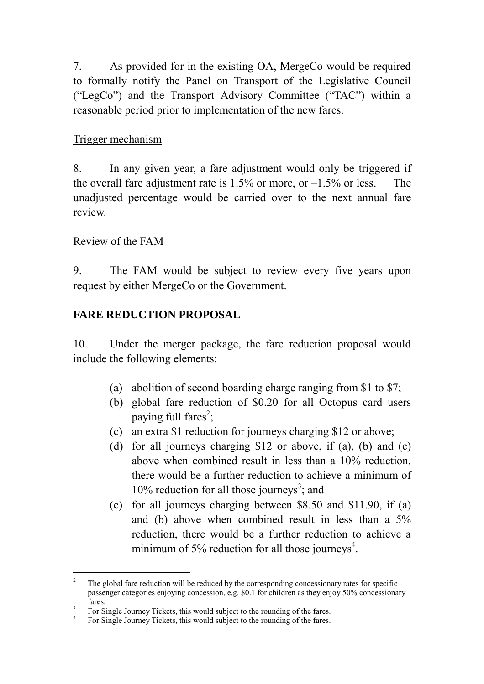7. As provided for in the existing OA, MergeCo would be required to formally notify the Panel on Transport of the Legislative Council ("LegCo") and the Transport Advisory Committee ("TAC") within a reasonable period prior to implementation of the new fares.

# Trigger mechanism

8. In any given year, a fare adjustment would only be triggered if the overall fare adjustment rate is  $1.5\%$  or more, or  $-1.5\%$  or less. The unadjusted percentage would be carried over to the next annual fare review.

## Review of the FAM

 $\overline{a}$ 

9. The FAM would be subject to review every five years upon request by either MergeCo or the Government.

## **FARE REDUCTION PROPOSAL**

10. Under the merger package, the fare reduction proposal would include the following elements:

- (a) abolition of second boarding charge ranging from \$1 to \$7;
- (b) global fare reduction of \$0.20 for all Octopus card users paying full fares<sup>2</sup>;
- (c) an extra \$1 reduction for journeys charging \$12 or above;
- (d) for all journeys charging \$12 or above, if (a), (b) and (c) above when combined result in less than a 10% reduction, there would be a further reduction to achieve a minimum of 10% reduction for all those journeys<sup>3</sup>; and
- (e) for all journeys charging between \$8.50 and \$11.90, if (a) and (b) above when combined result in less than a 5% reduction, there would be a further reduction to achieve a minimum of 5% reduction for all those journeys<sup>4</sup>.

<sup>2</sup> The global fare reduction will be reduced by the corresponding concessionary rates for specific passenger categories enjoying concession, e.g. \$0.1 for children as they enjoy 50% concessionary  $fares.$ <sup>3</sup> Eq. S

For Single Journey Tickets, this would subject to the rounding of the fares.

<sup>4</sup> For Single Journey Tickets, this would subject to the rounding of the fares.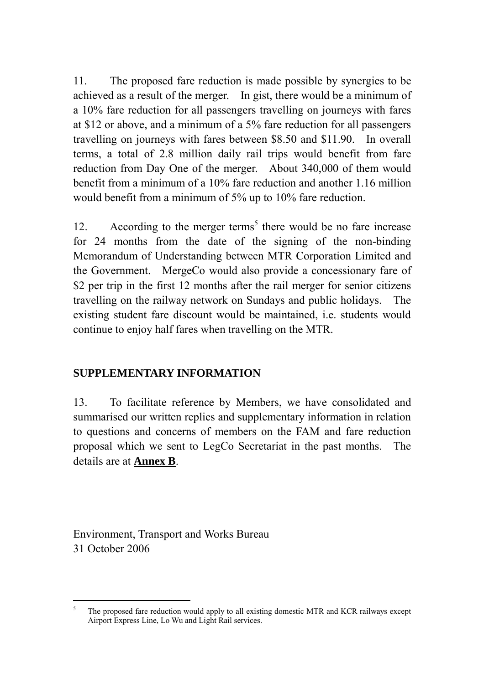11. The proposed fare reduction is made possible by synergies to be achieved as a result of the merger. In gist, there would be a minimum of a 10% fare reduction for all passengers travelling on journeys with fares at \$12 or above, and a minimum of a 5% fare reduction for all passengers travelling on journeys with fares between \$8.50 and \$11.90. In overall terms, a total of 2.8 million daily rail trips would benefit from fare reduction from Day One of the merger. About 340,000 of them would benefit from a minimum of a 10% fare reduction and another 1.16 million would benefit from a minimum of 5% up to 10% fare reduction.

12. According to the merger terms<sup>5</sup> there would be no fare increase for 24 months from the date of the signing of the non-binding Memorandum of Understanding between MTR Corporation Limited and the Government. MergeCo would also provide a concessionary fare of \$2 per trip in the first 12 months after the rail merger for senior citizens travelling on the railway network on Sundays and public holidays. The existing student fare discount would be maintained, i.e. students would continue to enjoy half fares when travelling on the MTR.

# **SUPPLEMENTARY INFORMATION**

13. To facilitate reference by Members, we have consolidated and summarised our written replies and supplementary information in relation to questions and concerns of members on the FAM and fare reduction proposal which we sent to LegCo Secretariat in the past months. The details are at **Annex B**.

Environment, Transport and Works Bureau 31 October 2006

 $\overline{a}$ 

<sup>5</sup> The proposed fare reduction would apply to all existing domestic MTR and KCR railways except Airport Express Line, Lo Wu and Light Rail services.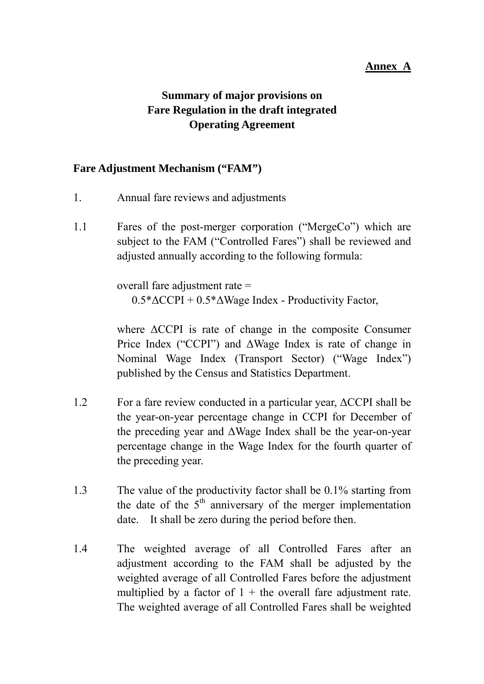#### **Annex A**

# **Summary of major provisions on Fare Regulation in the draft integrated Operating Agreement**

#### **Fare Adjustment Mechanism ("FAM")**

- 1. Annual fare reviews and adjustments
- 1.1 Fares of the post-merger corporation ("MergeCo") which are subject to the FAM ("Controlled Fares") shall be reviewed and adjusted annually according to the following formula:

 overall fare adjustment rate = 0.5\*∆CCPI + 0.5\*∆Wage Index - Productivity Factor,

 where ∆CCPI is rate of change in the composite Consumer Price Index ("CCPI") and ∆Wage Index is rate of change in Nominal Wage Index (Transport Sector) ("Wage Index") published by the Census and Statistics Department.

- 1.2 For a fare review conducted in a particular year, ∆CCPI shall be the year-on-year percentage change in CCPI for December of the preceding year and ∆Wage Index shall be the year-on-year percentage change in the Wage Index for the fourth quarter of the preceding year.
- 1.3 The value of the productivity factor shall be 0.1% starting from the date of the  $5<sup>th</sup>$  anniversary of the merger implementation date. It shall be zero during the period before then.
- 1.4 The weighted average of all Controlled Fares after an adjustment according to the FAM shall be adjusted by the weighted average of all Controlled Fares before the adjustment multiplied by a factor of  $1 +$  the overall fare adjustment rate. The weighted average of all Controlled Fares shall be weighted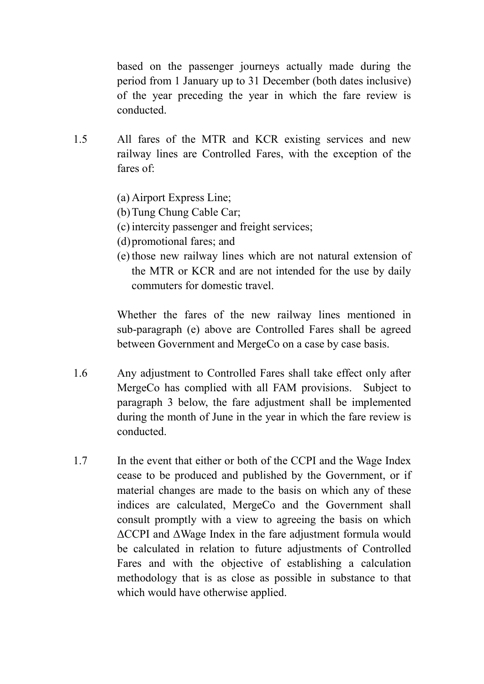based on the passenger journeys actually made during the period from 1 January up to 31 December (both dates inclusive) of the year preceding the year in which the fare review is conducted.

- 1.5 All fares of the MTR and KCR existing services and new railway lines are Controlled Fares, with the exception of the fares of:
	- (a) Airport Express Line;
	- (b) Tung Chung Cable Car;
	- (c) intercity passenger and freight services;
	- (d) promotional fares; and
	- (e) those new railway lines which are not natural extension of the MTR or KCR and are not intended for the use by daily commuters for domestic travel.

 Whether the fares of the new railway lines mentioned in sub-paragraph (e) above are Controlled Fares shall be agreed between Government and MergeCo on a case by case basis.

- 1.6 Any adjustment to Controlled Fares shall take effect only after MergeCo has complied with all FAM provisions. Subject to paragraph 3 below, the fare adjustment shall be implemented during the month of June in the year in which the fare review is conducted.
- 1.7 In the event that either or both of the CCPI and the Wage Index cease to be produced and published by the Government, or if material changes are made to the basis on which any of these indices are calculated, MergeCo and the Government shall consult promptly with a view to agreeing the basis on which ∆CCPI and ∆Wage Index in the fare adjustment formula would be calculated in relation to future adjustments of Controlled Fares and with the objective of establishing a calculation methodology that is as close as possible in substance to that which would have otherwise applied.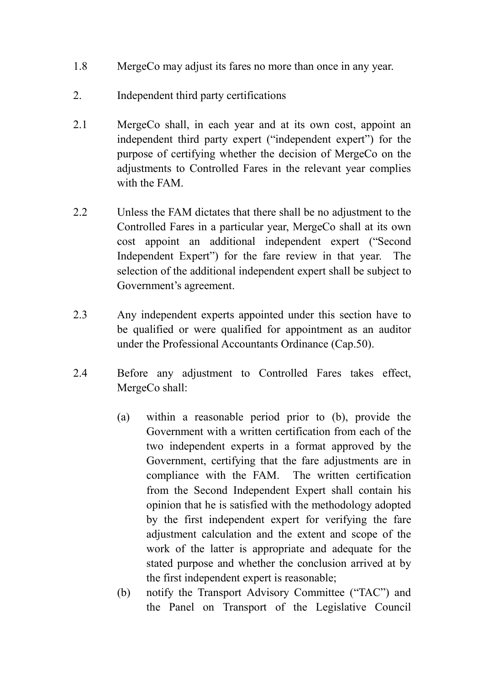- 1.8 MergeCo may adjust its fares no more than once in any year.
- 2. Independent third party certifications
- 2.1 MergeCo shall, in each year and at its own cost, appoint an independent third party expert ("independent expert") for the purpose of certifying whether the decision of MergeCo on the adjustments to Controlled Fares in the relevant year complies with the FAM.
- 2.2 Unless the FAM dictates that there shall be no adjustment to the Controlled Fares in a particular year, MergeCo shall at its own cost appoint an additional independent expert ("Second Independent Expert") for the fare review in that year. The selection of the additional independent expert shall be subject to Government's agreement.
- 2.3 Any independent experts appointed under this section have to be qualified or were qualified for appointment as an auditor under the Professional Accountants Ordinance (Cap.50).
- 2.4 Before any adjustment to Controlled Fares takes effect, MergeCo shall:
	- (a) within a reasonable period prior to (b), provide the Government with a written certification from each of the two independent experts in a format approved by the Government, certifying that the fare adjustments are in compliance with the FAM. The written certification from the Second Independent Expert shall contain his opinion that he is satisfied with the methodology adopted by the first independent expert for verifying the fare adjustment calculation and the extent and scope of the work of the latter is appropriate and adequate for the stated purpose and whether the conclusion arrived at by the first independent expert is reasonable;
	- (b) notify the Transport Advisory Committee ("TAC") and the Panel on Transport of the Legislative Council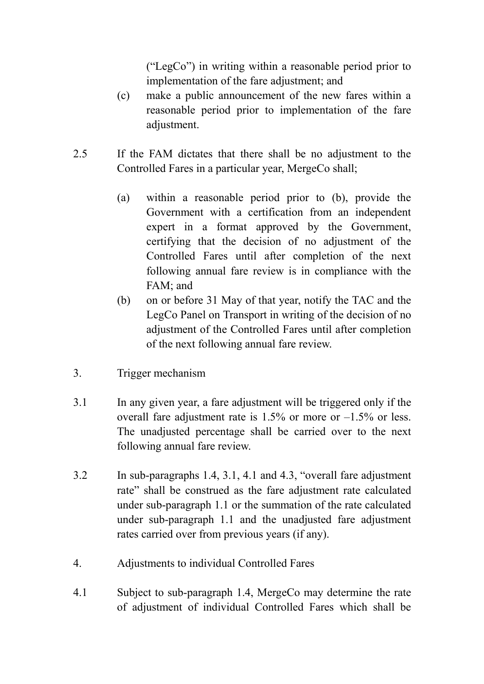("LegCo") in writing within a reasonable period prior to implementation of the fare adjustment; and

- (c) make a public announcement of the new fares within a reasonable period prior to implementation of the fare adjustment.
- 2.5 If the FAM dictates that there shall be no adjustment to the Controlled Fares in a particular year, MergeCo shall;
	- (a) within a reasonable period prior to (b), provide the Government with a certification from an independent expert in a format approved by the Government, certifying that the decision of no adjustment of the Controlled Fares until after completion of the next following annual fare review is in compliance with the FAM; and
	- (b) on or before 31 May of that year, notify the TAC and the LegCo Panel on Transport in writing of the decision of no adjustment of the Controlled Fares until after completion of the next following annual fare review.
- 3. Trigger mechanism
- 3.1 In any given year, a fare adjustment will be triggered only if the overall fare adjustment rate is 1.5% or more or –1.5% or less. The unadjusted percentage shall be carried over to the next following annual fare review.
- 3.2 In sub-paragraphs 1.4, 3.1, 4.1 and 4.3, "overall fare adjustment rate" shall be construed as the fare adjustment rate calculated under sub-paragraph 1.1 or the summation of the rate calculated under sub-paragraph 1.1 and the unadjusted fare adjustment rates carried over from previous years (if any).
- 4. Adjustments to individual Controlled Fares
- 4.1 Subject to sub-paragraph 1.4, MergeCo may determine the rate of adjustment of individual Controlled Fares which shall be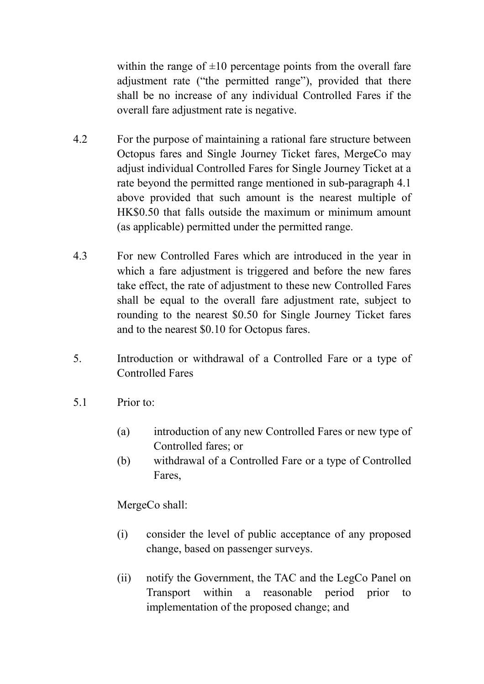within the range of  $\pm 10$  percentage points from the overall fare adjustment rate ("the permitted range"), provided that there shall be no increase of any individual Controlled Fares if the overall fare adjustment rate is negative.

- 4.2 For the purpose of maintaining a rational fare structure between Octopus fares and Single Journey Ticket fares, MergeCo may adjust individual Controlled Fares for Single Journey Ticket at a rate beyond the permitted range mentioned in sub-paragraph 4.1 above provided that such amount is the nearest multiple of HK\$0.50 that falls outside the maximum or minimum amount (as applicable) permitted under the permitted range.
- 4.3 For new Controlled Fares which are introduced in the year in which a fare adjustment is triggered and before the new fares take effect, the rate of adjustment to these new Controlled Fares shall be equal to the overall fare adjustment rate, subject to rounding to the nearest \$0.50 for Single Journey Ticket fares and to the nearest \$0.10 for Octopus fares.
- 5. Introduction or withdrawal of a Controlled Fare or a type of Controlled Fares
- 5.1 Prior to:
	- (a) introduction of any new Controlled Fares or new type of Controlled fares; or
	- (b) withdrawal of a Controlled Fare or a type of Controlled Fares,

MergeCo shall:

- (i) consider the level of public acceptance of any proposed change, based on passenger surveys.
- (ii) notify the Government, the TAC and the LegCo Panel on Transport within a reasonable period prior to implementation of the proposed change; and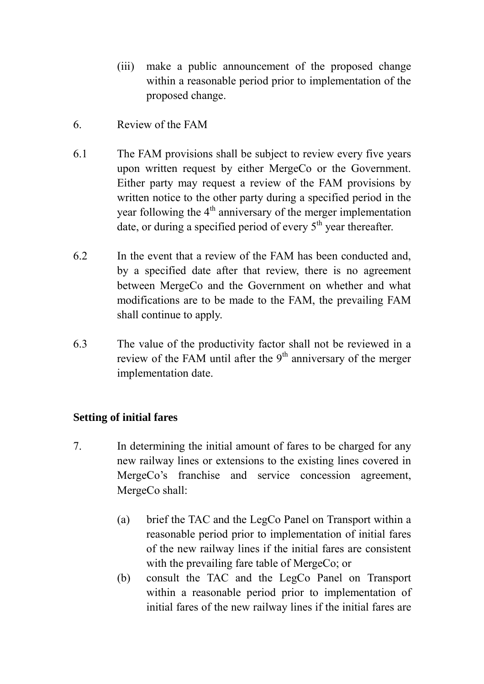- (iii) make a public announcement of the proposed change within a reasonable period prior to implementation of the proposed change.
- 6. Review of the FAM
- 6.1 The FAM provisions shall be subject to review every five years upon written request by either MergeCo or the Government. Either party may request a review of the FAM provisions by written notice to the other party during a specified period in the year following the  $4<sup>th</sup>$  anniversary of the merger implementation date, or during a specified period of every  $5<sup>th</sup>$  year thereafter.
- 6.2 In the event that a review of the FAM has been conducted and, by a specified date after that review, there is no agreement between MergeCo and the Government on whether and what modifications are to be made to the FAM, the prevailing FAM shall continue to apply.
- 6.3 The value of the productivity factor shall not be reviewed in a review of the FAM until after the  $9<sup>th</sup>$  anniversary of the merger implementation date.

# **Setting of initial fares**

- 7. In determining the initial amount of fares to be charged for any new railway lines or extensions to the existing lines covered in MergeCo's franchise and service concession agreement, MergeCo shall:
	- (a) brief the TAC and the LegCo Panel on Transport within a reasonable period prior to implementation of initial fares of the new railway lines if the initial fares are consistent with the prevailing fare table of MergeCo; or
	- (b) consult the TAC and the LegCo Panel on Transport within a reasonable period prior to implementation of initial fares of the new railway lines if the initial fares are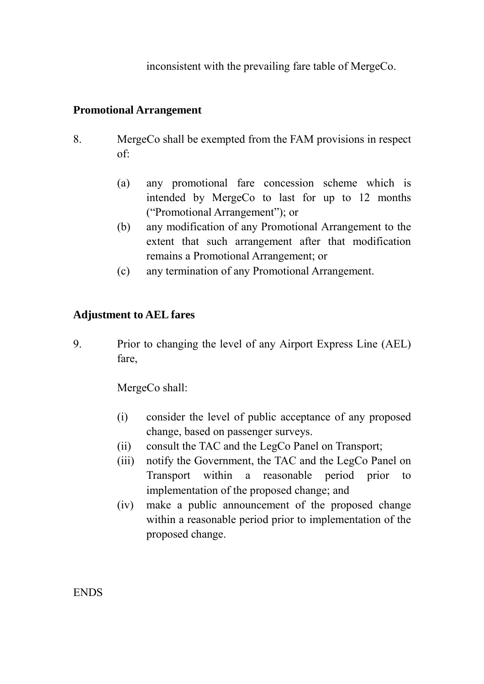inconsistent with the prevailing fare table of MergeCo.

# **Promotional Arrangement**

- 8. MergeCo shall be exempted from the FAM provisions in respect of:
	- (a) any promotional fare concession scheme which is intended by MergeCo to last for up to 12 months ("Promotional Arrangement"); or
	- (b) any modification of any Promotional Arrangement to the extent that such arrangement after that modification remains a Promotional Arrangement; or
	- (c) any termination of any Promotional Arrangement.

# **Adjustment to AEL fares**

9. Prior to changing the level of any Airport Express Line (AEL) fare,

MergeCo shall:

- (i) consider the level of public acceptance of any proposed change, based on passenger surveys.
- (ii) consult the TAC and the LegCo Panel on Transport;
- (iii) notify the Government, the TAC and the LegCo Panel on Transport within a reasonable period prior to implementation of the proposed change; and
- (iv) make a public announcement of the proposed change within a reasonable period prior to implementation of the proposed change.

ENDS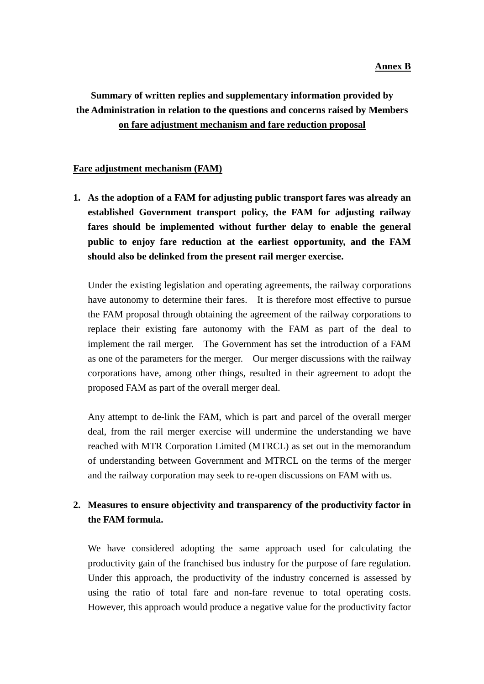# **Summary of written replies and supplementary information provided by the Administration in relation to the questions and concerns raised by Members on fare adjustment mechanism and fare reduction proposal**

#### **Fare adjustment mechanism (FAM)**

**1. As the adoption of a FAM for adjusting public transport fares was already an established Government transport policy, the FAM for adjusting railway fares should be implemented without further delay to enable the general public to enjoy fare reduction at the earliest opportunity, and the FAM should also be delinked from the present rail merger exercise.** 

Under the existing legislation and operating agreements, the railway corporations have autonomy to determine their fares. It is therefore most effective to pursue the FAM proposal through obtaining the agreement of the railway corporations to replace their existing fare autonomy with the FAM as part of the deal to implement the rail merger. The Government has set the introduction of a FAM as one of the parameters for the merger. Our merger discussions with the railway corporations have, among other things, resulted in their agreement to adopt the proposed FAM as part of the overall merger deal.

Any attempt to de-link the FAM, which is part and parcel of the overall merger deal, from the rail merger exercise will undermine the understanding we have reached with MTR Corporation Limited (MTRCL) as set out in the memorandum of understanding between Government and MTRCL on the terms of the merger and the railway corporation may seek to re-open discussions on FAM with us.

### **2. Measures to ensure objectivity and transparency of the productivity factor in the FAM formula.**

We have considered adopting the same approach used for calculating the productivity gain of the franchised bus industry for the purpose of fare regulation. Under this approach, the productivity of the industry concerned is assessed by using the ratio of total fare and non-fare revenue to total operating costs. However, this approach would produce a negative value for the productivity factor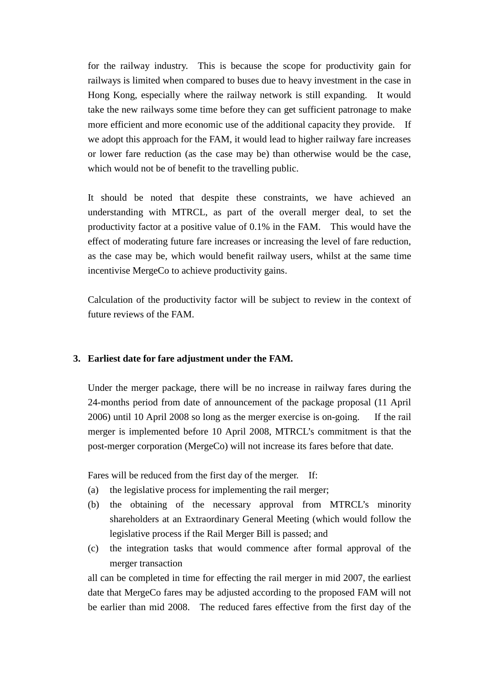for the railway industry. This is because the scope for productivity gain for railways is limited when compared to buses due to heavy investment in the case in Hong Kong, especially where the railway network is still expanding. It would take the new railways some time before they can get sufficient patronage to make more efficient and more economic use of the additional capacity they provide. If we adopt this approach for the FAM, it would lead to higher railway fare increases or lower fare reduction (as the case may be) than otherwise would be the case, which would not be of benefit to the travelling public.

It should be noted that despite these constraints, we have achieved an understanding with MTRCL, as part of the overall merger deal, to set the productivity factor at a positive value of 0.1% in the FAM. This would have the effect of moderating future fare increases or increasing the level of fare reduction, as the case may be, which would benefit railway users, whilst at the same time incentivise MergeCo to achieve productivity gains.

Calculation of the productivity factor will be subject to review in the context of future reviews of the FAM.

#### **3. Earliest date for fare adjustment under the FAM.**

Under the merger package, there will be no increase in railway fares during the 24-months period from date of announcement of the package proposal (11 April 2006) until 10 April 2008 so long as the merger exercise is on-going. If the rail merger is implemented before 10 April 2008, MTRCL's commitment is that the post-merger corporation (MergeCo) will not increase its fares before that date.

Fares will be reduced from the first day of the merger. If:

- (a) the legislative process for implementing the rail merger;
- (b) the obtaining of the necessary approval from MTRCL's minority shareholders at an Extraordinary General Meeting (which would follow the legislative process if the Rail Merger Bill is passed; and
- (c) the integration tasks that would commence after formal approval of the merger transaction

all can be completed in time for effecting the rail merger in mid 2007, the earliest date that MergeCo fares may be adjusted according to the proposed FAM will not be earlier than mid 2008. The reduced fares effective from the first day of the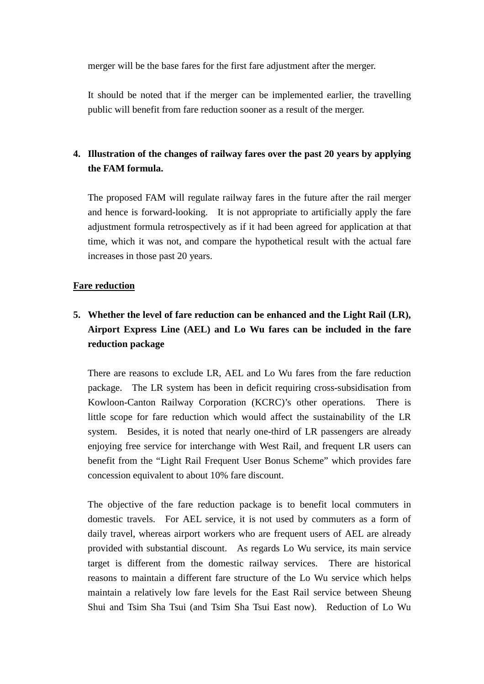merger will be the base fares for the first fare adjustment after the merger.

It should be noted that if the merger can be implemented earlier, the travelling public will benefit from fare reduction sooner as a result of the merger.

## **4. Illustration of the changes of railway fares over the past 20 years by applying the FAM formula.**

The proposed FAM will regulate railway fares in the future after the rail merger and hence is forward-looking. It is not appropriate to artificially apply the fare adjustment formula retrospectively as if it had been agreed for application at that time, which it was not, and compare the hypothetical result with the actual fare increases in those past 20 years.

#### **Fare reduction**

# **5. Whether the level of fare reduction can be enhanced and the Light Rail (LR), Airport Express Line (AEL) and Lo Wu fares can be included in the fare reduction package**

There are reasons to exclude LR, AEL and Lo Wu fares from the fare reduction package. The LR system has been in deficit requiring cross-subsidisation from Kowloon-Canton Railway Corporation (KCRC)'s other operations. There is little scope for fare reduction which would affect the sustainability of the LR system. Besides, it is noted that nearly one-third of LR passengers are already enjoying free service for interchange with West Rail, and frequent LR users can benefit from the "Light Rail Frequent User Bonus Scheme" which provides fare concession equivalent to about 10% fare discount.

The objective of the fare reduction package is to benefit local commuters in domestic travels. For AEL service, it is not used by commuters as a form of daily travel, whereas airport workers who are frequent users of AEL are already provided with substantial discount. As regards Lo Wu service, its main service target is different from the domestic railway services. There are historical reasons to maintain a different fare structure of the Lo Wu service which helps maintain a relatively low fare levels for the East Rail service between Sheung Shui and Tsim Sha Tsui (and Tsim Sha Tsui East now). Reduction of Lo Wu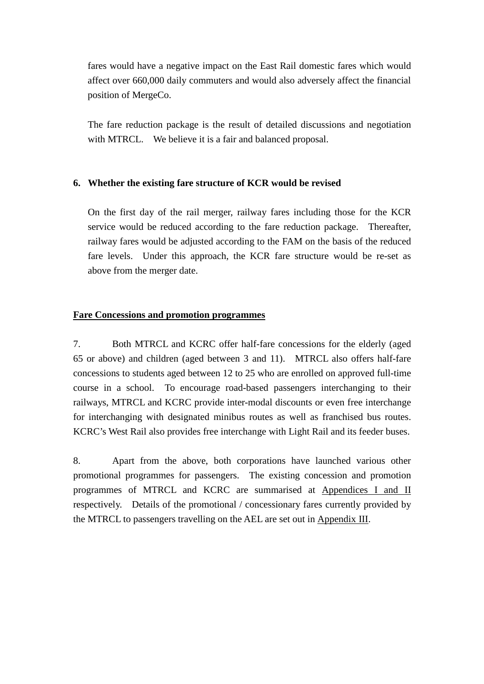fares would have a negative impact on the East Rail domestic fares which would affect over 660,000 daily commuters and would also adversely affect the financial position of MergeCo.

The fare reduction package is the result of detailed discussions and negotiation with MTRCL. We believe it is a fair and balanced proposal.

#### **6. Whether the existing fare structure of KCR would be revised**

On the first day of the rail merger, railway fares including those for the KCR service would be reduced according to the fare reduction package. Thereafter, railway fares would be adjusted according to the FAM on the basis of the reduced fare levels. Under this approach, the KCR fare structure would be re-set as above from the merger date.

#### **Fare Concessions and promotion programmes**

7. Both MTRCL and KCRC offer half-fare concessions for the elderly (aged 65 or above) and children (aged between 3 and 11). MTRCL also offers half-fare concessions to students aged between 12 to 25 who are enrolled on approved full-time course in a school. To encourage road-based passengers interchanging to their railways, MTRCL and KCRC provide inter-modal discounts or even free interchange for interchanging with designated minibus routes as well as franchised bus routes. KCRC's West Rail also provides free interchange with Light Rail and its feeder buses.

8. Apart from the above, both corporations have launched various other promotional programmes for passengers. The existing concession and promotion programmes of MTRCL and KCRC are summarised at Appendices I and II respectively. Details of the promotional / concessionary fares currently provided by the MTRCL to passengers travelling on the AEL are set out in Appendix III.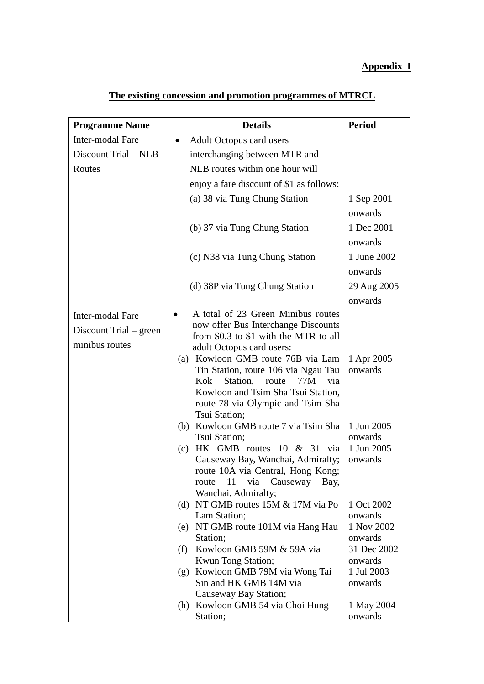#### **Appendix I**

| <b>Programme Name</b>                                        | <b>Details</b>                                                                                                                                                                                                                                                                                                                                                                                                                                                                                                                                                                                                                                                                                                                                                                                               | <b>Period</b>                                                                                                                                                                |
|--------------------------------------------------------------|--------------------------------------------------------------------------------------------------------------------------------------------------------------------------------------------------------------------------------------------------------------------------------------------------------------------------------------------------------------------------------------------------------------------------------------------------------------------------------------------------------------------------------------------------------------------------------------------------------------------------------------------------------------------------------------------------------------------------------------------------------------------------------------------------------------|------------------------------------------------------------------------------------------------------------------------------------------------------------------------------|
| Inter-modal Fare                                             | <b>Adult Octopus card users</b><br>$\bullet$                                                                                                                                                                                                                                                                                                                                                                                                                                                                                                                                                                                                                                                                                                                                                                 |                                                                                                                                                                              |
| Discount Trial – NLB                                         | interchanging between MTR and                                                                                                                                                                                                                                                                                                                                                                                                                                                                                                                                                                                                                                                                                                                                                                                |                                                                                                                                                                              |
| Routes                                                       | NLB routes within one hour will                                                                                                                                                                                                                                                                                                                                                                                                                                                                                                                                                                                                                                                                                                                                                                              |                                                                                                                                                                              |
|                                                              | enjoy a fare discount of \$1 as follows:                                                                                                                                                                                                                                                                                                                                                                                                                                                                                                                                                                                                                                                                                                                                                                     |                                                                                                                                                                              |
|                                                              | (a) 38 via Tung Chung Station                                                                                                                                                                                                                                                                                                                                                                                                                                                                                                                                                                                                                                                                                                                                                                                | 1 Sep 2001                                                                                                                                                                   |
|                                                              |                                                                                                                                                                                                                                                                                                                                                                                                                                                                                                                                                                                                                                                                                                                                                                                                              | onwards                                                                                                                                                                      |
|                                                              | (b) 37 via Tung Chung Station                                                                                                                                                                                                                                                                                                                                                                                                                                                                                                                                                                                                                                                                                                                                                                                | 1 Dec 2001                                                                                                                                                                   |
|                                                              |                                                                                                                                                                                                                                                                                                                                                                                                                                                                                                                                                                                                                                                                                                                                                                                                              | onwards                                                                                                                                                                      |
|                                                              | (c) N38 via Tung Chung Station                                                                                                                                                                                                                                                                                                                                                                                                                                                                                                                                                                                                                                                                                                                                                                               | 1 June 2002                                                                                                                                                                  |
|                                                              |                                                                                                                                                                                                                                                                                                                                                                                                                                                                                                                                                                                                                                                                                                                                                                                                              |                                                                                                                                                                              |
|                                                              |                                                                                                                                                                                                                                                                                                                                                                                                                                                                                                                                                                                                                                                                                                                                                                                                              | onwards                                                                                                                                                                      |
|                                                              | (d) 38P via Tung Chung Station                                                                                                                                                                                                                                                                                                                                                                                                                                                                                                                                                                                                                                                                                                                                                                               | 29 Aug 2005                                                                                                                                                                  |
|                                                              | A total of 23 Green Minibus routes                                                                                                                                                                                                                                                                                                                                                                                                                                                                                                                                                                                                                                                                                                                                                                           | onwards                                                                                                                                                                      |
| Inter-modal Fare<br>Discount Trial – green<br>minibus routes | $\bullet$<br>now offer Bus Interchange Discounts<br>from \$0.3 to \$1 with the MTR to all<br>adult Octopus card users:<br>(a) Kowloon GMB route 76B via Lam<br>Tin Station, route 106 via Ngau Tau<br>Kok Station, route 77M<br>via<br>Kowloon and Tsim Sha Tsui Station,<br>route 78 via Olympic and Tsim Sha<br>Tsui Station;<br>(b) Kowloon GMB route 7 via Tsim Sha<br>Tsui Station;<br>HK GMB routes 10 & 31 via<br>(c)<br>Causeway Bay, Wanchai, Admiralty;<br>route 10A via Central, Hong Kong;<br>11<br>via<br>Causeway<br>route<br>Bay,<br>Wanchai, Admiralty;<br>(d) NT GMB routes $15M & 17M$ via Po<br>Lam Station;<br>(e) NT GMB route 101M via Hang Hau<br>Station;<br>Kowloon GMB 59M & 59A via<br>(f)<br>Kwun Tong Station;<br>Kowloon GMB 79M via Wong Tai<br>(g)<br>Sin and HK GMB 14M via | 1 Apr 2005<br>onwards<br>1 Jun 2005<br>onwards<br>1 Jun 2005<br>onwards<br>1 Oct 2002<br>onwards<br>1 Nov 2002<br>onwards<br>31 Dec 2002<br>onwards<br>1 Jul 2003<br>onwards |
|                                                              | Causeway Bay Station;<br>(h) Kowloon GMB 54 via Choi Hung<br>Station;                                                                                                                                                                                                                                                                                                                                                                                                                                                                                                                                                                                                                                                                                                                                        | 1 May 2004<br>onwards                                                                                                                                                        |

# **The existing concession and promotion programmes of MTRCL**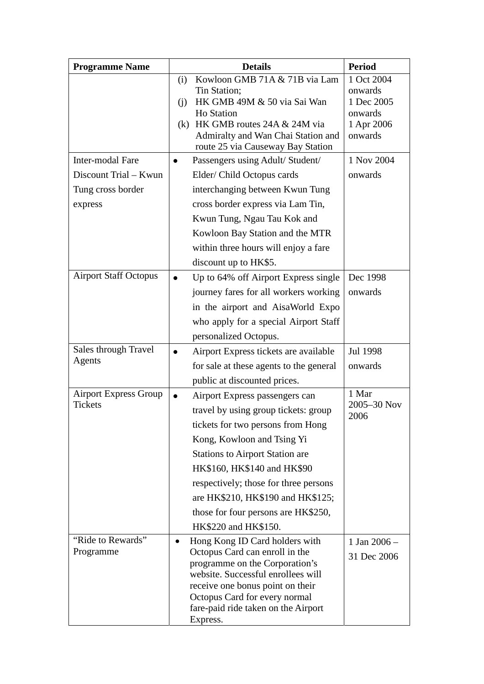| <b>Programme Name</b>                                                     | <b>Details</b>                                                                                                                                                                                                                                                                                                                                                               | <b>Period</b>                                                           |
|---------------------------------------------------------------------------|------------------------------------------------------------------------------------------------------------------------------------------------------------------------------------------------------------------------------------------------------------------------------------------------------------------------------------------------------------------------------|-------------------------------------------------------------------------|
|                                                                           | Kowloon GMB 71A & 71B via Lam<br>(i)<br>Tin Station;<br>HK GMB 49M & 50 via Sai Wan<br>(i)<br><b>Ho Station</b><br>HK GMB routes 24A & 24M via<br>(k)<br>Admiralty and Wan Chai Station and<br>route 25 via Causeway Bay Station                                                                                                                                             | 1 Oct 2004<br>onwards<br>1 Dec 2005<br>onwards<br>1 Apr 2006<br>onwards |
| Inter-modal Fare<br>Discount Trial - Kwun<br>Tung cross border<br>express | Passengers using Adult/ Student/<br>$\bullet$<br>Elder/Child Octopus cards<br>interchanging between Kwun Tung<br>cross border express via Lam Tin,<br>Kwun Tung, Ngau Tau Kok and<br>Kowloon Bay Station and the MTR<br>within three hours will enjoy a fare<br>discount up to HK\$5.                                                                                        | 1 Nov 2004<br>onwards                                                   |
| <b>Airport Staff Octopus</b>                                              | Up to 64% off Airport Express single<br>$\bullet$<br>journey fares for all workers working<br>in the airport and AisaWorld Expo<br>who apply for a special Airport Staff<br>personalized Octopus.                                                                                                                                                                            | Dec 1998<br>onwards                                                     |
| Sales through Travel<br>Agents                                            | Airport Express tickets are available<br>$\bullet$<br>for sale at these agents to the general<br>public at discounted prices.                                                                                                                                                                                                                                                | Jul 1998<br>onwards                                                     |
| <b>Airport Express Group</b><br><b>Tickets</b>                            | Airport Express passengers can<br>$\bullet$<br>travel by using group tickets: group<br>tickets for two persons from Hong<br>Kong, Kowloon and Tsing Yi<br><b>Stations to Airport Station are</b><br>HK\$160, HK\$140 and HK\$90<br>respectively; those for three persons<br>are HK\$210, HK\$190 and HK\$125;<br>those for four persons are HK\$250,<br>HK\$220 and HK\$150. | 1 Mar<br>2005-30 Nov<br>2006                                            |
| "Ride to Rewards"<br>Programme                                            | Hong Kong ID Card holders with<br>$\bullet$<br>Octopus Card can enroll in the<br>programme on the Corporation's<br>website. Successful enrollees will<br>receive one bonus point on their<br>Octopus Card for every normal<br>fare-paid ride taken on the Airport<br>Express.                                                                                                | 1 Jan $2006 -$<br>31 Dec 2006                                           |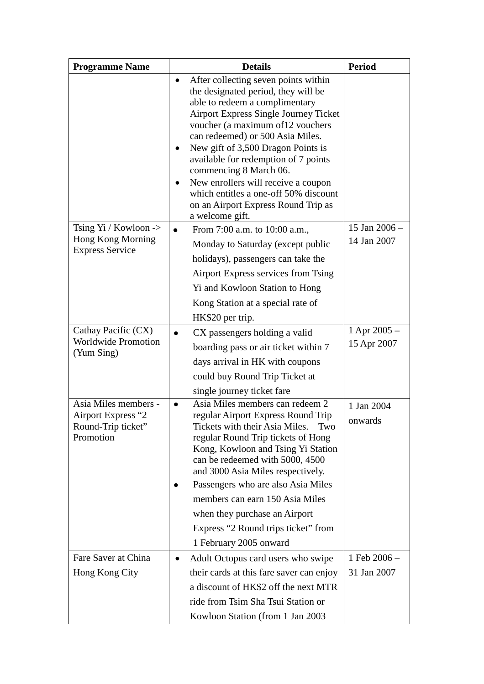| <b>Programme Name</b>                                                         | <b>Details</b>                                                                                                                                                                                                                                                                                                                                                                                                                                                                                        | <b>Period</b>                   |
|-------------------------------------------------------------------------------|-------------------------------------------------------------------------------------------------------------------------------------------------------------------------------------------------------------------------------------------------------------------------------------------------------------------------------------------------------------------------------------------------------------------------------------------------------------------------------------------------------|---------------------------------|
|                                                                               | After collecting seven points within<br>$\bullet$<br>the designated period, they will be<br>able to redeem a complimentary<br><b>Airport Express Single Journey Ticket</b><br>voucher (a maximum of 12 vouchers<br>can redeemed) or 500 Asia Miles.<br>New gift of 3,500 Dragon Points is<br>available for redemption of 7 points<br>commencing 8 March 06.<br>New enrollers will receive a coupon<br>which entitles a one-off 50% discount<br>on an Airport Express Round Trip as<br>a welcome gift. |                                 |
| Tsing $Yi / Kowloon$ -><br>Hong Kong Morning<br><b>Express Service</b>        | From 7:00 a.m. to 10:00 a.m.,<br>Monday to Saturday (except public<br>holidays), passengers can take the<br>Airport Express services from Tsing<br>Yi and Kowloon Station to Hong<br>Kong Station at a special rate of<br>HK\$20 per trip.                                                                                                                                                                                                                                                            | 15 Jan 2006 -<br>14 Jan 2007    |
| Cathay Pacific (CX)<br><b>Worldwide Promotion</b><br>(Yum Sing)               | CX passengers holding a valid<br>boarding pass or air ticket within 7<br>days arrival in HK with coupons<br>could buy Round Trip Ticket at<br>single journey ticket fare                                                                                                                                                                                                                                                                                                                              | $1$ Apr 2005 $-$<br>15 Apr 2007 |
| Asia Miles members -<br>Airport Express "2<br>Round-Trip ticket"<br>Promotion | Asia Miles members can redeem 2<br>regular Airport Express Round Trip<br>Tickets with their Asia Miles.<br>Two<br>regular Round Trip tickets of Hong<br>Kong, Kowloon and Tsing Yi Station<br>can be redeemed with 5000, 4500<br>and 3000 Asia Miles respectively.<br>Passengers who are also Asia Miles<br>members can earn 150 Asia Miles<br>when they purchase an Airport<br>Express "2 Round trips ticket" from<br>1 February 2005 onward                                                         | 1 Jan 2004<br>onwards           |
| Fare Saver at China<br>Hong Kong City                                         | Adult Octopus card users who swipe<br>their cards at this fare saver can enjoy<br>a discount of HK\$2 off the next MTR<br>ride from Tsim Sha Tsui Station or<br>Kowloon Station (from 1 Jan 2003)                                                                                                                                                                                                                                                                                                     | 1 Feb 2006 -<br>31 Jan 2007     |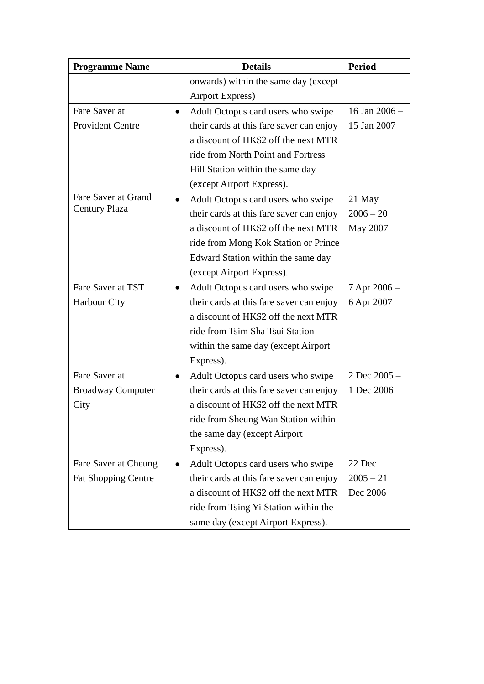| <b>Programme Name</b>      |           | <b>Details</b>                           | <b>Period</b>   |
|----------------------------|-----------|------------------------------------------|-----------------|
|                            |           | onwards) within the same day (except     |                 |
|                            |           | <b>Airport Express)</b>                  |                 |
| Fare Saver at              |           | Adult Octopus card users who swipe       | 16 Jan $2006 -$ |
| <b>Provident Centre</b>    |           | their cards at this fare saver can enjoy | 15 Jan 2007     |
|                            |           | a discount of HK\$2 off the next MTR     |                 |
|                            |           | ride from North Point and Fortress       |                 |
|                            |           | Hill Station within the same day         |                 |
|                            |           | (except Airport Express).                |                 |
| Fare Saver at Grand        |           | Adult Octopus card users who swipe       | 21 May          |
| <b>Century Plaza</b>       |           | their cards at this fare saver can enjoy | $2006 - 20$     |
|                            |           | a discount of HK\$2 off the next MTR     | May 2007        |
|                            |           | ride from Mong Kok Station or Prince     |                 |
|                            |           | Edward Station within the same day       |                 |
|                            |           | (except Airport Express).                |                 |
| Fare Saver at TST          | $\bullet$ | Adult Octopus card users who swipe       | 7 Apr 2006 -    |
| Harbour City               |           | their cards at this fare saver can enjoy | 6 Apr 2007      |
|                            |           | a discount of HK\$2 off the next MTR     |                 |
|                            |           | ride from Tsim Sha Tsui Station          |                 |
|                            |           | within the same day (except Airport      |                 |
|                            |           | Express).                                |                 |
| Fare Saver at              | $\bullet$ | Adult Octopus card users who swipe       | 2 Dec 2005 -    |
| <b>Broadway Computer</b>   |           | their cards at this fare saver can enjoy | 1 Dec 2006      |
| City                       |           | a discount of HK\$2 off the next MTR     |                 |
|                            |           | ride from Sheung Wan Station within      |                 |
|                            |           | the same day (except Airport             |                 |
|                            |           | Express).                                |                 |
| Fare Saver at Cheung       | $\bullet$ | Adult Octopus card users who swipe       | 22 Dec          |
| <b>Fat Shopping Centre</b> |           | their cards at this fare saver can enjoy | $2005 - 21$     |
|                            |           | a discount of HK\$2 off the next MTR     | Dec 2006        |
|                            |           | ride from Tsing Yi Station within the    |                 |
|                            |           | same day (except Airport Express).       |                 |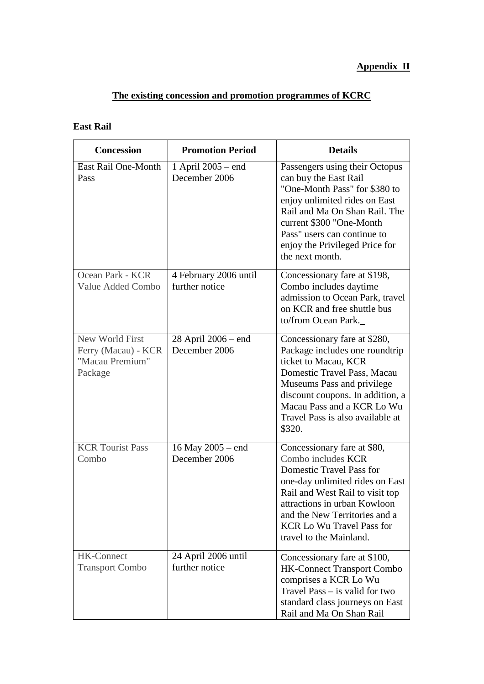# **The existing concession and promotion programmes of KCRC**

### **East Rail**

| <b>Concession</b>                                                    | <b>Promotion Period</b>                  | <b>Details</b>                                                                                                                                                                                                                                                                      |
|----------------------------------------------------------------------|------------------------------------------|-------------------------------------------------------------------------------------------------------------------------------------------------------------------------------------------------------------------------------------------------------------------------------------|
| East Rail One-Month<br>Pass                                          | 1 April 2005 – end<br>December 2006      | Passengers using their Octopus<br>can buy the East Rail<br>"One-Month Pass" for \$380 to<br>enjoy unlimited rides on East<br>Rail and Ma On Shan Rail. The<br>current \$300 "One-Month<br>Pass" users can continue to<br>enjoy the Privileged Price for<br>the next month.          |
| Ocean Park - KCR<br>Value Added Combo                                | 4 February 2006 until<br>further notice  | Concessionary fare at \$198,<br>Combo includes daytime<br>admission to Ocean Park, travel<br>on KCR and free shuttle bus<br>to/from Ocean Park.                                                                                                                                     |
| New World First<br>Ferry (Macau) - KCR<br>"Macau Premium"<br>Package | $28$ April $2006$ – end<br>December 2006 | Concessionary fare at \$280,<br>Package includes one roundtrip<br>ticket to Macau, KCR<br>Domestic Travel Pass, Macau<br>Museums Pass and privilege<br>discount coupons. In addition, a<br>Macau Pass and a KCR Lo Wu<br>Travel Pass is also available at<br>\$320.                 |
| <b>KCR Tourist Pass</b><br>Combo                                     | 16 May 2005 – end<br>December 2006       | Concessionary fare at \$80,<br>Combo includes KCR<br>Domestic Travel Pass for<br>one-day unlimited rides on East<br>Rail and West Rail to visit top<br>attractions in urban Kowloon<br>and the New Territories and a<br><b>KCR Lo Wu Travel Pass for</b><br>travel to the Mainland. |
| <b>HK-Connect</b><br><b>Transport Combo</b>                          | 24 April 2006 until<br>further notice    | Concessionary fare at \$100,<br><b>HK-Connect Transport Combo</b><br>comprises a KCR Lo Wu<br>Travel Pass $-$ is valid for two<br>standard class journeys on East<br>Rail and Ma On Shan Rail                                                                                       |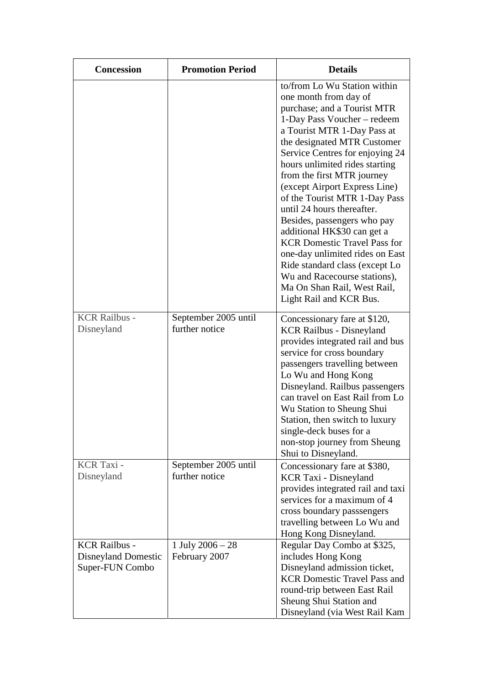| <b>Concession</b>                                                     | <b>Promotion Period</b>                | <b>Details</b>                                                                                                                                                                                                                                                                                                                                                                                                                                                                                                                                                                                                                                           |
|-----------------------------------------------------------------------|----------------------------------------|----------------------------------------------------------------------------------------------------------------------------------------------------------------------------------------------------------------------------------------------------------------------------------------------------------------------------------------------------------------------------------------------------------------------------------------------------------------------------------------------------------------------------------------------------------------------------------------------------------------------------------------------------------|
|                                                                       |                                        | to/from Lo Wu Station within<br>one month from day of<br>purchase; and a Tourist MTR<br>1-Day Pass Voucher - redeem<br>a Tourist MTR 1-Day Pass at<br>the designated MTR Customer<br>Service Centres for enjoying 24<br>hours unlimited rides starting<br>from the first MTR journey<br>(except Airport Express Line)<br>of the Tourist MTR 1-Day Pass<br>until 24 hours thereafter.<br>Besides, passengers who pay<br>additional HK\$30 can get a<br><b>KCR Domestic Travel Pass for</b><br>one-day unlimited rides on East<br>Ride standard class (except Lo<br>Wu and Racecourse stations),<br>Ma On Shan Rail, West Rail,<br>Light Rail and KCR Bus. |
| <b>KCR Railbus -</b><br>Disneyland                                    | September 2005 until<br>further notice | Concessionary fare at \$120,<br><b>KCR Railbus - Disneyland</b><br>provides integrated rail and bus<br>service for cross boundary<br>passengers travelling between<br>Lo Wu and Hong Kong<br>Disneyland. Railbus passengers<br>can travel on East Rail from Lo<br>Wu Station to Sheung Shui<br>Station, then switch to luxury<br>single-deck buses for a<br>non-stop journey from Sheung<br>Shui to Disneyland.                                                                                                                                                                                                                                          |
| KCR Taxi -<br>Disneyland                                              | September 2005 until<br>further notice | Concessionary fare at \$380,<br><b>KCR Taxi - Disneyland</b><br>provides integrated rail and taxi<br>services for a maximum of 4<br>cross boundary passsengers<br>travelling between Lo Wu and<br>Hong Kong Disneyland.                                                                                                                                                                                                                                                                                                                                                                                                                                  |
| <b>KCR Railbus -</b><br><b>Disneyland Domestic</b><br>Super-FUN Combo | 1 July $2006 - 28$<br>February 2007    | Regular Day Combo at \$325,<br>includes Hong Kong<br>Disneyland admission ticket,<br><b>KCR Domestic Travel Pass and</b><br>round-trip between East Rail<br>Sheung Shui Station and<br>Disneyland (via West Rail Kam                                                                                                                                                                                                                                                                                                                                                                                                                                     |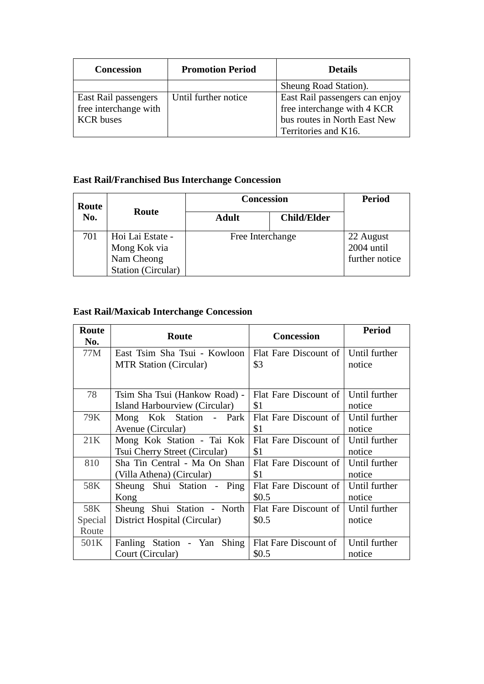| <b>Concession</b>     | <b>Promotion Period</b> | <b>Details</b>                 |
|-----------------------|-------------------------|--------------------------------|
|                       |                         | Sheung Road Station).          |
| East Rail passengers  | Until further notice    | East Rail passengers can enjoy |
| free interchange with |                         | free interchange with 4 KCR    |
| <b>KCR</b> buses      |                         | bus routes in North East New   |
|                       |                         | Territories and K16.           |

# **East Rail/Franchised Bus Interchange Concession**

| Route |                                                                             | <b>Concession</b> |                    | <b>Period</b>                             |
|-------|-----------------------------------------------------------------------------|-------------------|--------------------|-------------------------------------------|
| No.   | Route                                                                       | <b>Adult</b>      | <b>Child/Elder</b> |                                           |
| 701   | Hoi Lai Estate -<br>Mong Kok via<br>Nam Cheong<br><b>Station (Circular)</b> | Free Interchange  |                    | 22 August<br>2004 until<br>further notice |

# **East Rail/Maxicab Interchange Concession**

| Route<br>No. | Route                         | <b>Concession</b>     | <b>Period</b> |
|--------------|-------------------------------|-----------------------|---------------|
| 77M          | East Tsim Sha Tsui - Kowloon  | Flat Fare Discount of | Until further |
|              | <b>MTR Station (Circular)</b> | \$3                   | notice        |
|              |                               |                       |               |
| 78           | Tsim Sha Tsui (Hankow Road) - | Flat Fare Discount of | Until further |
|              | Island Harbourview (Circular) | \$1                   | notice        |
| 79K          | Mong Kok Station - Park       | Flat Fare Discount of | Until further |
|              | Avenue (Circular)             | \$1                   | notice        |
| 21K          | Mong Kok Station - Tai Kok    | Flat Fare Discount of | Until further |
|              | Tsui Cherry Street (Circular) | \$1                   | notice        |
| 810          | Sha Tin Central - Ma On Shan  | Flat Fare Discount of | Until further |
|              | (Villa Athena) (Circular)     | \$1                   | notice        |
| 58K          | Sheung Shui Station - Ping    | Flat Fare Discount of | Until further |
|              | Kong                          | \$0.5                 | notice        |
| 58K          | Sheung Shui Station - North   | Flat Fare Discount of | Until further |
| Special      | District Hospital (Circular)  | \$0.5                 | notice        |
| Route        |                               |                       |               |
| 501K         | Fanling Station - Yan Shing   | Flat Fare Discount of | Until further |
|              | Court (Circular)              | \$0.5                 | notice        |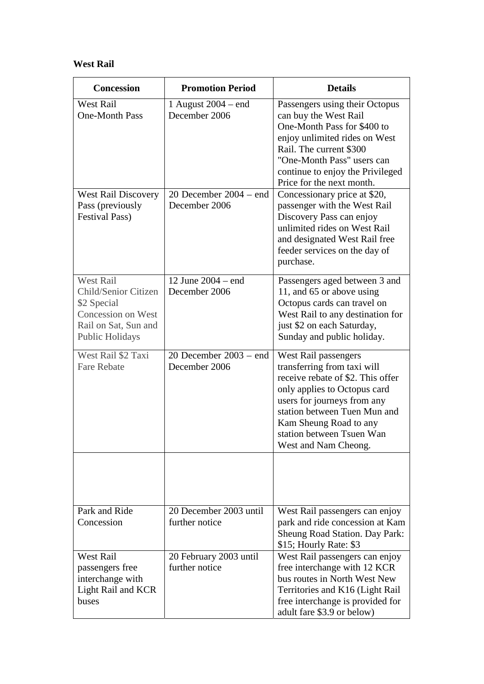#### **West Rail**

| <b>Concession</b>                                                                                                               | <b>Promotion Period</b>                   | <b>Details</b>                                                                                                                                                                                                                                                         |
|---------------------------------------------------------------------------------------------------------------------------------|-------------------------------------------|------------------------------------------------------------------------------------------------------------------------------------------------------------------------------------------------------------------------------------------------------------------------|
| <b>West Rail</b><br><b>One-Month Pass</b>                                                                                       | 1 August $2004$ – end<br>December 2006    | Passengers using their Octopus<br>can buy the West Rail<br>One-Month Pass for \$400 to<br>enjoy unlimited rides on West<br>Rail. The current \$300<br>"One-Month Pass" users can<br>continue to enjoy the Privileged<br>Price for the next month.                      |
| <b>West Rail Discovery</b><br>Pass (previously<br><b>Festival Pass)</b>                                                         | 20 December $2004 - end$<br>December 2006 | Concessionary price at \$20,<br>passenger with the West Rail<br>Discovery Pass can enjoy<br>unlimited rides on West Rail<br>and designated West Rail free<br>feeder services on the day of<br>purchase.                                                                |
| <b>West Rail</b><br>Child/Senior Citizen<br>\$2 Special<br>Concession on West<br>Rail on Sat, Sun and<br><b>Public Holidays</b> | 12 June 2004 – end<br>December 2006       | Passengers aged between 3 and<br>11, and 65 or above using<br>Octopus cards can travel on<br>West Rail to any destination for<br>just \$2 on each Saturday,<br>Sunday and public holiday.                                                                              |
| West Rail \$2 Taxi<br><b>Fare Rebate</b>                                                                                        | 20 December $2003 - end$<br>December 2006 | West Rail passengers<br>transferring from taxi will<br>receive rebate of \$2. This offer<br>only applies to Octopus card<br>users for journeys from any<br>station between Tuen Mun and<br>Kam Sheung Road to any<br>station between Tsuen Wan<br>West and Nam Cheong. |
|                                                                                                                                 |                                           |                                                                                                                                                                                                                                                                        |
| Park and Ride<br>Concession                                                                                                     | 20 December 2003 until<br>further notice  | West Rail passengers can enjoy<br>park and ride concession at Kam<br>Sheung Road Station. Day Park:<br>\$15; Hourly Rate: \$3                                                                                                                                          |
| <b>West Rail</b><br>passengers free<br>interchange with<br>Light Rail and KCR<br>buses                                          | 20 February 2003 until<br>further notice  | West Rail passengers can enjoy<br>free interchange with 12 KCR<br>bus routes in North West New<br>Territories and K16 (Light Rail<br>free interchange is provided for<br>adult fare \$3.9 or below)                                                                    |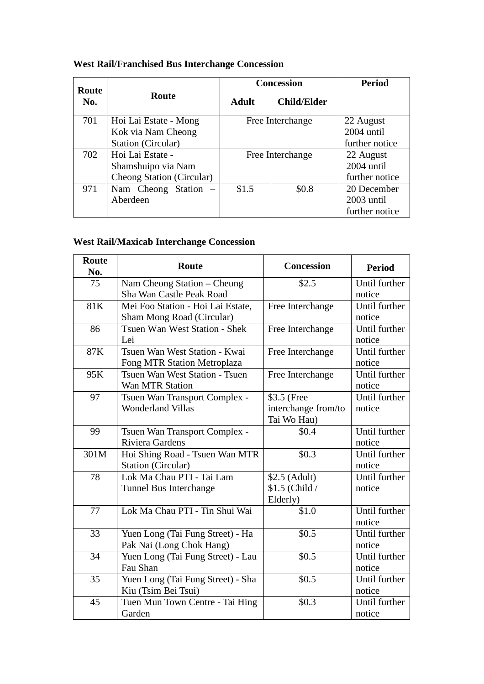|  |  | <b>West Rail/Franchised Bus Interchange Concession</b> |  |
|--|--|--------------------------------------------------------|--|
|  |  |                                                        |  |

| Route |                           |                  | <b>Concession</b>  | <b>Period</b>  |
|-------|---------------------------|------------------|--------------------|----------------|
| No.   | Route                     | <b>Adult</b>     | <b>Child/Elder</b> |                |
| 701   | Hoi Lai Estate - Mong     |                  | Free Interchange   | 22 August      |
|       | Kok via Nam Cheong        |                  |                    | $2004$ until   |
|       | Station (Circular)        |                  |                    | further notice |
| 702   | Hoi Lai Estate -          | Free Interchange |                    | 22 August      |
|       | Shamshuipo via Nam        |                  |                    | $2004$ until   |
|       | Cheong Station (Circular) |                  |                    | further notice |
| 971   | Nam Cheong Station –      | \$1.5            | \$0.8              | 20 December    |
|       | Aberdeen                  |                  |                    | $2003$ until   |
|       |                           |                  |                    | further notice |

# **West Rail/Maxicab Interchange Concession**

| Route<br>No. | Route                             | <b>Concession</b>   | <b>Period</b> |
|--------------|-----------------------------------|---------------------|---------------|
| 75           | Nam Cheong Station - Cheung       | \$2.5               | Until further |
|              | Sha Wan Castle Peak Road          |                     | notice        |
| 81K          | Mei Foo Station - Hoi Lai Estate, | Free Interchange    | Until further |
|              | Sham Mong Road (Circular)         |                     | notice        |
| 86           | Tsuen Wan West Station - Shek     | Free Interchange    | Until further |
|              | Lei                               |                     | notice        |
| 87K          | Tsuen Wan West Station - Kwai     | Free Interchange    | Until further |
|              | Fong MTR Station Metroplaza       |                     | notice        |
| 95K          | Tsuen Wan West Station - Tsuen    | Free Interchange    | Until further |
|              | Wan MTR Station                   |                     | notice        |
| 97           | Tsuen Wan Transport Complex -     | \$3.5 (Free         | Until further |
|              | <b>Wonderland Villas</b>          | interchange from/to | notice        |
|              |                                   | Tai Wo Hau)         |               |
| 99           | Tsuen Wan Transport Complex -     | \$0.4               | Until further |
|              | Riviera Gardens                   |                     | notice        |
| 301M         | Hoi Shing Road - Tsuen Wan MTR    | \$0.3\$             | Until further |
|              | Station (Circular)                |                     | notice        |
| 78           | Lok Ma Chau PTI - Tai Lam         | $$2.5$ (Adult)      | Until further |
|              | Tunnel Bus Interchange            | \$1.5 (Child /      | notice        |
|              |                                   | Elderly)            |               |
| 77           | Lok Ma Chau PTI - Tin Shui Wai    | \$1.0               | Until further |
|              |                                   |                     | notice        |
| 33           | Yuen Long (Tai Fung Street) - Ha  | \$0.5               | Until further |
|              | Pak Nai (Long Chok Hang)          |                     | notice        |
| 34           | Yuen Long (Tai Fung Street) - Lau | \$0.5               | Until further |
|              | Fau Shan                          |                     | notice        |
| 35           | Yuen Long (Tai Fung Street) - Sha | \$0.5               | Until further |
|              | Kiu (Tsim Bei Tsui)               |                     | notice        |
| 45           | Tuen Mun Town Centre - Tai Hing   | \$0.3               | Until further |
|              | Garden                            |                     | notice        |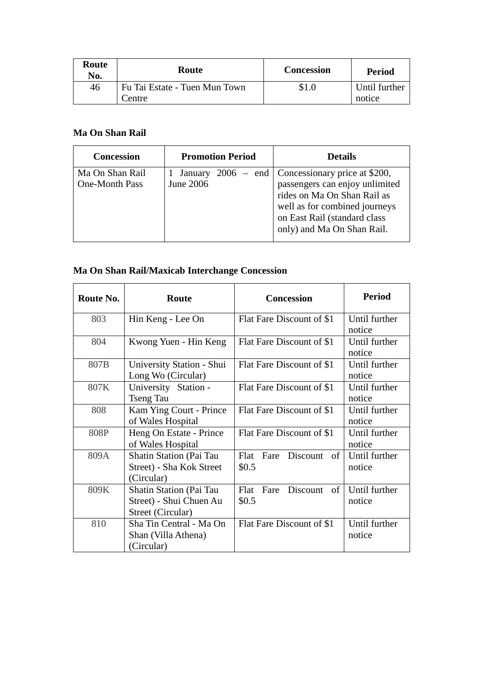| Route<br>No. | Route                                   | <b>Concession</b> | <b>Period</b>           |
|--------------|-----------------------------------------|-------------------|-------------------------|
| 46           | Fu Tai Estate - Tuen Mun Town<br>Centre | \$1.0             | Until further<br>notice |

#### **Ma On Shan Rail**

| <b>Concession</b>                 | <b>Promotion Period</b> | <b>Details</b>                                                                                                                                                                                                     |
|-----------------------------------|-------------------------|--------------------------------------------------------------------------------------------------------------------------------------------------------------------------------------------------------------------|
| Ma On Shan Rail<br>One-Month Pass | June 2006               | January 2006 – end   Concessionary price at \$200,<br>passengers can enjoy unlimited<br>rides on Ma On Shan Rail as<br>well as for combined journeys<br>on East Rail (standard class<br>only) and Ma On Shan Rail. |

#### **Ma On Shan Rail/Maxicab Interchange Concession**

| Route No. | Route                                                                    | <b>Concession</b>                    | <b>Period</b>           |
|-----------|--------------------------------------------------------------------------|--------------------------------------|-------------------------|
| 803       | Hin Keng - Lee On                                                        | Flat Fare Discount of \$1            | Until further<br>notice |
| 804       | Kwong Yuen - Hin Keng                                                    | Flat Fare Discount of \$1            | Until further<br>notice |
| 807B      | University Station - Shui<br>Long Wo (Circular)                          | Flat Fare Discount of \$1            | Until further<br>notice |
| 807K      | University Station -<br><b>Tseng Tau</b>                                 | Flat Fare Discount of \$1            | Until further<br>notice |
| 808       | Kam Ying Court - Prince<br>of Wales Hospital                             | Flat Fare Discount of \$1            | Until further<br>notice |
| 808P      | Heng On Estate - Prince<br>of Wales Hospital                             | Flat Fare Discount of \$1            | Until further<br>notice |
| 809A      | <b>Shatin Station (Pai Tau</b><br>Street) - Sha Kok Street<br>(Circular) | Flat<br>Fare<br>Discount of<br>\$0.5 | Until further<br>notice |
| 809K      | Shatin Station (Pai Tau<br>Street) - Shui Chuen Au<br>Street (Circular)  | Flat<br>Discount of<br>Fare<br>\$0.5 | Until further<br>notice |
| 810       | Sha Tin Central - Ma On<br>Shan (Villa Athena)<br>(Circular)             | Flat Fare Discount of \$1            | Until further<br>notice |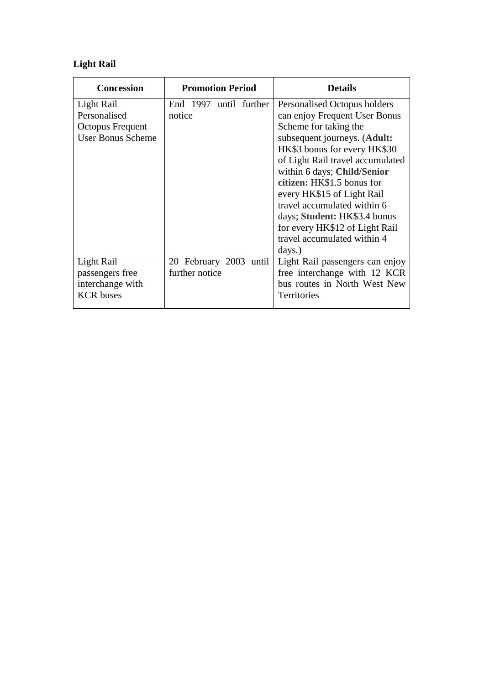# **Light Rail**

| <b>Concession</b>        | <b>Promotion Period</b> | <b>Details</b>                   |
|--------------------------|-------------------------|----------------------------------|
| Light Rail               | End 1997 until further  | Personalised Octopus holders     |
| Personalised             | notice                  | can enjoy Frequent User Bonus    |
| Octopus Frequent         |                         | Scheme for taking the            |
| <b>User Bonus Scheme</b> |                         | subsequent journeys. (Adult:     |
|                          |                         | HK\$3 bonus for every HK\$30     |
|                          |                         | of Light Rail travel accumulated |
|                          |                         | within 6 days; Child/Senior      |
|                          |                         | citizen: HK\$1.5 bonus for       |
|                          |                         | every HK\$15 of Light Rail       |
|                          |                         | travel accumulated within 6      |
|                          |                         | days; Student: HK\$3.4 bonus     |
|                          |                         | for every HK\$12 of Light Rail   |
|                          |                         | travel accumulated within 4      |
|                          |                         | days.)                           |
| Light Rail               | 20 February 2003 until  | Light Rail passengers can enjoy  |
| passengers free          | further notice          | free interchange with 12 KCR     |
| interchange with         |                         | bus routes in North West New     |
| <b>KCR</b> buses         |                         | <b>Territories</b>               |
|                          |                         |                                  |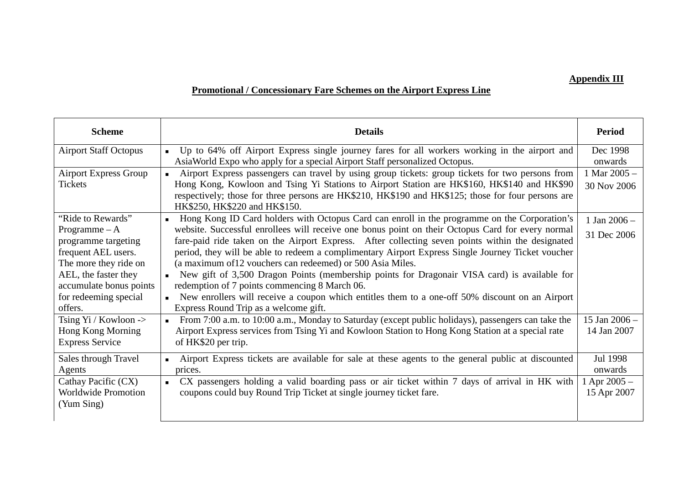#### **Appendix III**

# **Promotional / Concessionary Fare Schemes on the Airport Express Line**

| <b>Scheme</b>                | <b>Details</b>                                                                                                                      | <b>Period</b>  |
|------------------------------|-------------------------------------------------------------------------------------------------------------------------------------|----------------|
| <b>Airport Staff Octopus</b> | Up to 64% off Airport Express single journey fares for all workers working in the airport and<br>$\blacksquare$                     | Dec 1998       |
|                              | AsiaWorld Expo who apply for a special Airport Staff personalized Octopus.                                                          | onwards        |
| <b>Airport Express Group</b> | Airport Express passengers can travel by using group tickets: group tickets for two persons from<br>$\blacksquare$                  | 1 Mar $2005 -$ |
| <b>Tickets</b>               | Hong Kong, Kowloon and Tsing Yi Stations to Airport Station are HK\$160, HK\$140 and HK\$90                                         | 30 Nov 2006    |
|                              | respectively; those for three persons are HK\$210, HK\$190 and HK\$125; those for four persons are<br>HK\$250, HK\$220 and HK\$150. |                |
| "Ride to Rewards"            | Hong Kong ID Card holders with Octopus Card can enroll in the programme on the Corporation's<br>$\blacksquare$                      | 1 Jan $2006 -$ |
| Programme $-A$               | website. Successful enrollees will receive one bonus point on their Octopus Card for every normal                                   | 31 Dec 2006    |
| programme targeting          | fare-paid ride taken on the Airport Express. After collecting seven points within the designated                                    |                |
| frequent AEL users.          | period, they will be able to redeem a complimentary Airport Express Single Journey Ticket voucher                                   |                |
| The more they ride on        | (a maximum of 12 vouchers can redeemed) or 500 Asia Miles.                                                                          |                |
| AEL, the faster they         | New gift of 3,500 Dragon Points (membership points for Dragonair VISA card) is available for<br>$\blacksquare$                      |                |
| accumulate bonus points      | redemption of 7 points commencing 8 March 06.                                                                                       |                |
| for redeeming special        | New enrollers will receive a coupon which entitles them to a one-off 50% discount on an Airport                                     |                |
| offers.                      | Express Round Trip as a welcome gift.                                                                                               |                |
| Tsing $Yi / Kowloon$ ->      | From 7:00 a.m. to 10:00 a.m., Monday to Saturday (except public holidays), passengers can take the<br>$\blacksquare$                | 15 Jan 2006 -  |
| Hong Kong Morning            | Airport Express services from Tsing Yi and Kowloon Station to Hong Kong Station at a special rate                                   | 14 Jan 2007    |
| <b>Express Service</b>       | of HK\$20 per trip.                                                                                                                 |                |
| Sales through Travel         | Airport Express tickets are available for sale at these agents to the general public at discounted<br>$\blacksquare$                | Jul 1998       |
| Agents                       | prices.                                                                                                                             | onwards        |
| Cathay Pacific (CX)          | CX passengers holding a valid boarding pass or air ticket within 7 days of arrival in HK with<br>$\blacksquare$                     | Apr $2005 -$   |
| <b>Worldwide Promotion</b>   | coupons could buy Round Trip Ticket at single journey ticket fare.                                                                  | 15 Apr 2007    |
| (Yum Sing)                   |                                                                                                                                     |                |
|                              |                                                                                                                                     |                |